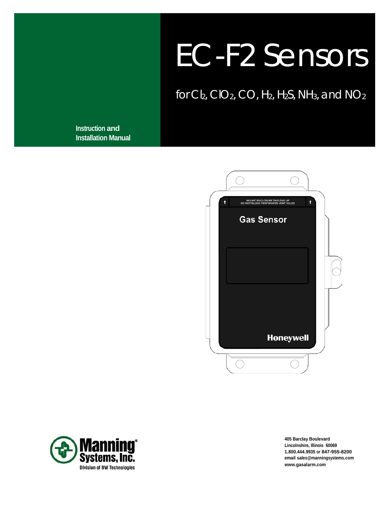# EC-F2 Sensors

for Cl<sub>2</sub>, ClO<sub>2</sub>, CO, H<sub>2</sub>, H<sub>2</sub>S, NH<sub>3</sub>, and NO<sub>2</sub>

**Instruction and Installation Manual** 





**405 Barclay Boulevard Lincolnshire, Illinois 60069 1.800.444.9935 or 847-955-8200 email [sales@manningsystems.com](mailto:sales@manningsystems.com) www.gasalarm.com**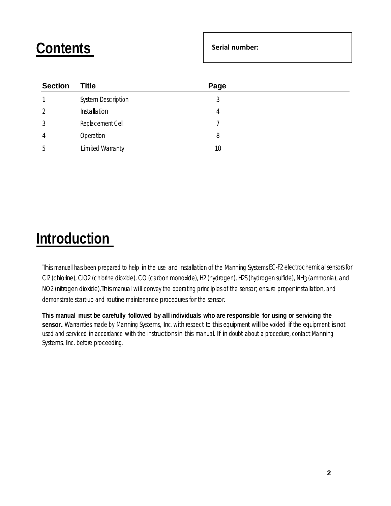### **Contents**

| <b>Section</b> | <b>Title</b>              | Page |  |
|----------------|---------------------------|------|--|
|                | <b>System Description</b> | 3    |  |
|                | Installation              | 4    |  |
| 3              | Replacement Cell          |      |  |
| 4              | Operation                 | 8    |  |
| b              | <b>Limited Warranty</b>   | 10   |  |

### **Introduction**

This manual has been prepared to help in the use and installation of the Manning Systems EC-F2 electrochemical sensors for Cl2 (chlorine), ClO2 (chlorine dioxide), CO (carbon monoxide), H2 (hydrogen), H2S (hydrogen sulfide), NH3 (ammonia), and NO2 (nitrogen dioxide).This manual will convey the operating principles of the sensor, ensure proper installation, and demonstrate start-up and routine maintenance procedures for the sensor.

**This manual must be carefully followed by all individuals who are responsible for using or servicing the** sensor. Warranties made by Manning Systems, Inc. with respect to this equipment will be voided if the equipment is not used and serviced in accordance with the instructions in this manual. If in doubt about <sup>a</sup> procedure, contact Manning Systems, Inc. before proceeding.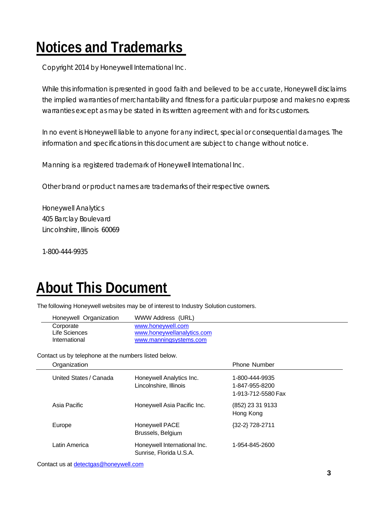## **Notices and Trademarks**

Copyright 2014 by Honeywell International Inc.

While this information is presented in good faith and believed to be accurate, Honeywell disclaims the implied warranties of merchantability and fitness for a particular purpose and makes no express warranties except as may be stated in its written agreement with and for its customers.

In no event is Honeywell liable to anyone for any indirect, special or consequential damages. The information and specifications in this document are subject to change without notice.

Manning is a registered trademark of Honeywell International Inc.

Other brand or product names are trademarks of their respective owners.

Honeywell Analytics 405 Barclay Boulevard Lincolnshire, Illinois 60069

1-800-444-9935

### **About This Document**

The following Honeywell websites may be of interest to Industry Solution customers.

| Honeywell Organization | WWW Address (URL)          |
|------------------------|----------------------------|
| Corporate              | www.honeywell.com          |
| Life Sciences          | www.honeywellanalytics.com |
| International          | www.manningsystems.com     |

Contact us by telephone at the numbers listed below.

| Organization           |                                                         | <b>Phone Number</b>                                    |  |
|------------------------|---------------------------------------------------------|--------------------------------------------------------|--|
| United States / Canada | Honeywell Analytics Inc.<br>Lincolnshire, Illinois      | 1-800-444-9935<br>1-847-955-8200<br>1-913-712-5580 Fax |  |
| Asia Pacific           | Honeywell Asia Pacific Inc.                             | (852) 23 31 9133<br>Hong Kong                          |  |
| Europe                 | Honeywell PACE<br>Brussels, Belgium                     | {32-2} 728-2711                                        |  |
| Latin America          | Honeywell International Inc.<br>Sunrise, Florida U.S.A. | 1-954-845-2600                                         |  |

Contact us at **[detectgas@honeywell.com](mailto:sales@manningsystems.com)**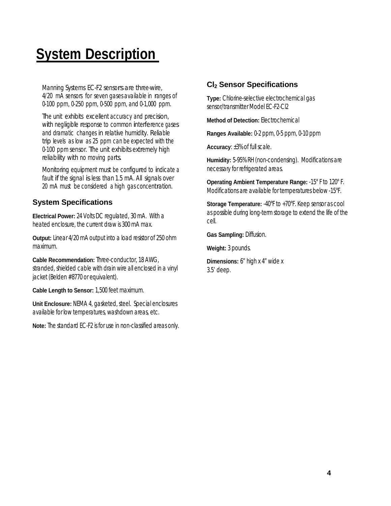Manning Systems EC-F2 sensors are three-wire, 4/20 mA sensors for seven gases available in ranges of 0-100 ppm, 0-250 ppm, 0-500 ppm, and 0-1,000 ppm.

The unit exhibits excellent accuracy and precision, with negligible response to common interference gases and dramatic changes in relative humidity. Reliable trip levels as low as 25 ppm can be expected with the 0-100 ppm sensor. The unit exhibits extremely high reliability with no moving parts.

Monitoring equipment must be configured to indicate <sup>a</sup> fault if the signal is less than 1.5 mA. All signals over <sup>20</sup> mA must be considered a high gas concentration.

#### **System Specifications**

**Electrical Power:** 24 Volts DC regulated, 30 mA. With a heated enclosure, the current draw is 300 mA max.

**Output:** Linear 4/20 mA output into a load resistor of 250 ohm maximum.

**Cable Recommendation:** Three-conductor, 18 AWG, stranded, shielded cable with drain wire all enclosed in a vinyl jacket (Belden #8770 or equivalent).

**Cable Length to Sensor:** 1,500 feet maximum.

**Unit Enclosure:** NEMA 4, gasketed, steel. Special enclosures available for low temperatures, washdown areas, etc.

**Note:** The standard EC-F2 is for use in non-classified areas only.

#### **Cl2 Sensor Specifications**

**Type:** Chlorine-selective electrochemical gas sensor/transmitter Model EC-F2-Cl2

2 **Method of Detection:** Electrochemical

**Ranges Available:** 0-2 ppm, 0-5 ppm, 0-10 ppm

**Accuracy**: ±3% of full scale.

**Humidity:** 5-95% RH (non-condensing). Modifications are necessary for refrigerated areas.

**Operating Ambient Temperature Range:** -15° F to 120° F. Modifications are available for temperatures below -15°F.

**Storage Temperature:** -40°F to +70°F. Keep sensor as cool as possible during long-term storage to extend the life of the cell.

**Gas Sampling:** Diffusion.

**Weight:** 3 pounds.

**Dimensions:** 6" high x 4" wide x 3.5' deep.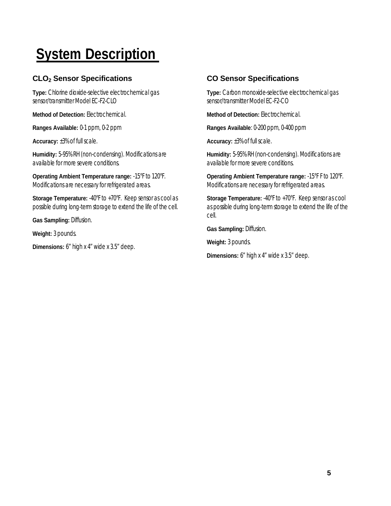#### **CLO2 Sensor Specifications**

**Type:** Chlorine dioxide-selective electrochemical gas sensor/transmitter Model EC-F2-CLO

**Method of Detection:** Electrochemical.

**Ranges Available:** 0-1 ppm, 0-2 ppm

**Accuracy:** ±3% of full scale.

**Humidity:** 5-95% RH (non-condensing). Modifications are available for more severe conditions.

**Operating Ambient Temperature range:** -15°F to 120°F. Modifications are necessary for refrigerated areas.

**Storage Temperature:** -40°F to +70°F. Keep sensor as cool as possible during long-term storage to extend the life of the cell.

**Gas Sampling:** Diffusion.

**Weight:** 3 pounds.

**Dimensions:** 6" high x 4" wide x 3.5" deep.

#### **CO Sensor Specifications**

**Type:** Carbon monoxide-selective electrochemical gas sensor/transmitter Model EC-F2-CO

**Method of Detection:** Electrochemical.

**Ranges Available**: 0-200 ppm, 0-400 ppm

**Accuracy:** ±3% of full scale.

**Humidity:** 5-95% RH (non-condensing). Modifications are available for more severe conditions.

**Operating Ambient Temperature range:** -15°F F to 120°F. Modifications are necessary for refrigerated areas.

**Storage Temperature:** -40°F to +70°F. Keep sensor as cool as possible during long-term storage to extend the life of the cell.

**Gas Sampling:** Diffusion.

**Weight:** 3 pounds.

**Dimensions:** 6" high x 4" wide x 3.5" deep.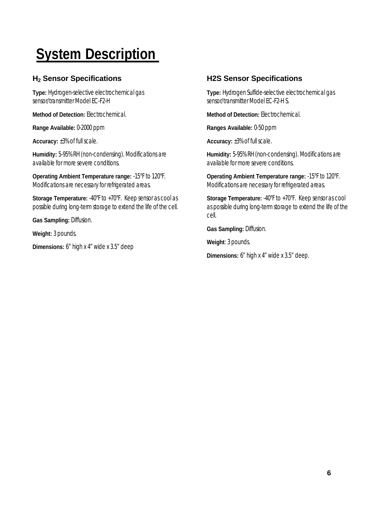#### **H2 Sensor Specifications**

**Type:** Hydrogen-selective electrochemical gas sensor/transmitter Model EC-F2-H

**Method of Detection:** Electrochemical.

**Range Available:** 0-2000 ppm

**Accuracy:** ±3% of full scale.

**Humidity:** 5-95% RH (non-condensing). Modifications are available for more severe conditions.

**Operating Ambient Temperature range:** -15°F to 120°F. Modifications are necessary for refrigerated areas.

**Storage Temperature:** -40°F to +70°F. Keep sensor as cool as possible during long-term storage to extend the life of the cell.

**Gas Sampling:** Diffusion.

**Weight:** 3 pounds.

**Dimensions:** 6" high x 4" wide x 3.5" deep

#### **H2S Sensor Specifications**

**Type:** Hydrogen Sulfide-selective electrochemical gas sensor/transmitter Model EC-F2-H S.

**Method of Detection:** Electrochemical.

**Ranges Available:** 0-50 ppm

**Accuracy:** ±3% of full scale.

**Humidity:** 5-95% RH (non-condensing). Modifications are available for more severe conditions.

**Operating Ambient Temperature range:** -15°F to 120°F. Modifications are necessary for refrigerated areas.

**Storage Temperature:** -40°F to +70°F. Keep sensor as cool as possible during long-term storage to extend the life of the cell.

**Gas Sampling:** Diffusion.

**Weight**: 3 pounds.

**Dimensions:** 6" high x 4" wide x 3.5" deep.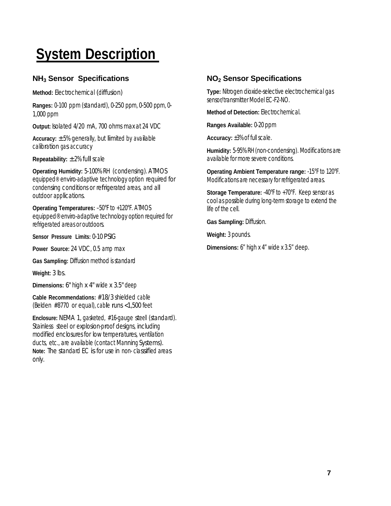#### **NH3 Sensor Specifications**

**Method:** Electrochemical (diffusion)

**Ranges:** 0-100 ppm (standard), 0-250 ppm, 0-500 ppm, 0- 1,000 ppm

**Output:** Isolated 4/20 mA, 700 ohms max at 24 VDC

**Accuracy:**  $\pm$  5% generally, but limited by available calibration gas accuracy

**Repeatability:** ± 2% full scale

**Operating Humidity:** 5-100% RH (condensing). ATMOS equipped® enviro-adaptive technology option required for condensing conditions or refrigerated areas, and all outdoor applications.

**Operating Temperatures:** –50°F to +120°F. ATMOS equipped® enviro-adaptive technology option required for refrigerated areas or outdoors.

**Sensor Pressure Limits:** 0-10 PSIG

**Power Source:** 24 VDC, 0.5 amp max

**Gas Sampling:** Diffusion method is standard

**Weight:** 3 lbs.

**Dimensions:** 6" high x 4" wide x 3.5" deep

**Cable Recommendations:** #18/3 shielded cable (Belden #8770 or equal), cable runs <1,500 feet

**Enclosure:** NEMA 1, gasketed, #16-gauge steel (standard). Stainless steel or explosion-proof designs, including modified enclosures for low temperatures, ventilation ducts, etc., are available (contact Manning Systems). **Note:** The standard EC is for use in non- classified areas only.

#### **NO2 Sensor Specifications**

**Type:** Nitrogen dioxide-selective electrochemical gas sensor/transmitter Model EC-F2-NO.

**Method of Detection:** Electrochemical.

**Ranges Available:** 0-20 ppm

**Accuracy:** ±3% of full scale.

**Humidity:** 5-95% RH (non-condensing). Modifications are available for more severe conditions.

**Operating Ambient Temperature range:** -15°F to 120°F. Modifications are necessary for refrigerated areas.

**Storage Temperature:** -40°F to +70°F. Keep sensor as cool as possible during long-term storage to extend the life of the cell.

**Gas Sampling:** Diffusion.

**Weight:** 3 pounds.

**Dimensions:** 6" high x 4" wide x 3.5" deep.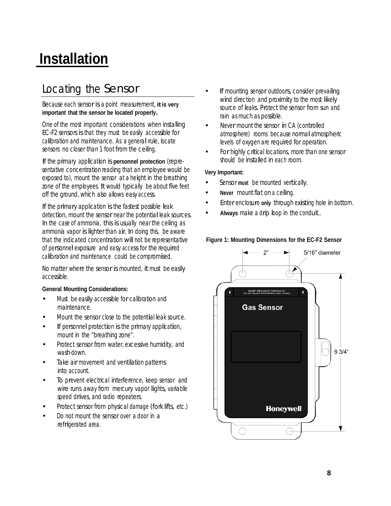# **Installation**

### Locating the Sensor

Because each sensor is <sup>a</sup> point measurement, **it is very important that the sensor be located properly.**

One of the most important considerations when installing EC-F2 sensors is that they must be easily accessible for calibration and maintenance. As <sup>a</sup> general rule, locate sensors no closer than <sup>1</sup> foot from the ceiling.

If the primary application is **personnel protection** (representative concentration reading that an employee would be exposed to), mount the sensor at <sup>a</sup> height in the breathing zone of the employees. It would typically be about five feet off the ground, which also allows easy access.

If the primary application is the fastest possible leak detection, mount the sensor near the potential leak sources. In the case of ammonia, this is usually near the ceiling as ammonia vapor is lighter than air. In doing this, be aware that the indicated concentration will not be representative of personnel exposure and easy access for the required calibration and maintenance could be compromised.

No matter where the sensor is mounted, it must be easily accessible.

#### **General Mounting Considerations:**

- Must be easily accessible for calibration and maintenance.
- Mount the sensor close to the potential leak source.
- If personnel protection is the primary application, mount in the "breathing zone".
- Protect sensor from water, excessive humidity, and wash-down.
- Take air movement and ventilation patterns into account.
- To prevent electrical interference, keep sensor and wire runs away from mercury vapor lights, variable speed drives, and radio repeaters.
- Protect sensor from physical damage (fork lifts, etc.)
- Do not mount the sensor over a door in a refrigerated area.
- If mounting sensor outdoors, consider prevailing wind direction and proximity to the most likely source of leaks. Protect the sensor from sun and rain as much as possible.
- Never mount the sensor in CA (controlled atmosphere) rooms because normal atmospheric levels of oxygen are required for operation.
- For highly critical locations, more than one sensor should be installed in each room.

#### **Very Important:**

- Sensor **must** be mounted vertically.
- **Never** mount flat on <sup>a</sup> ceiling.
- Enter enclosure **only** through existing hole in bottom.
- **Always** make <sup>a</sup> drip loop in the conduit..

#### **Figure 1: Mounting Dimensions for the EC-F2 Sensor**

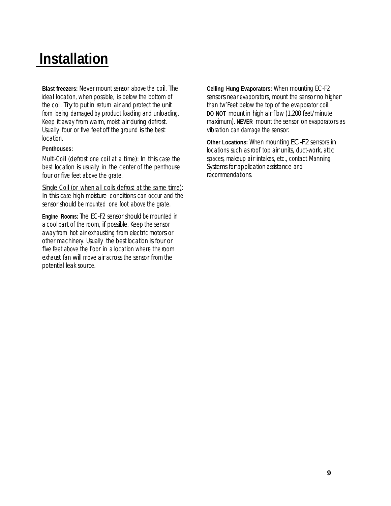### **Installation**

**Blast freezers:** Never mount sensor above the coil. The ideal location, when possible, is below the bottom of the coil. Try to put in return air and protect the unit from being damaged by product loading and unloading. Keep it away from warm, moist air during defrost. Usually four or five feet off the ground is the best location.

#### **Penthouses:**

Multi-Coil (defrost one coil at <sup>a</sup> time): In this case the best location is usually in the center of the penthouse four or five feet above the grate.

Single Coil (or when all coils defrost at the same time): In this case high moisture conditions can occur and the sensor should be mounted one foot above the grate.

**Engine Rooms:** The EC-F2 sensor should be mounted in <sup>a</sup> cool part of the room, if possible. Keep the sensor away from hot air exhausting from electric motors or other machinery. Usually the best location is four or five feet above the floor in <sup>a</sup> location where the room exhaust fan will move air across the sensor from the potential leak source.

**Ceiling Hung Evaporators:** When mounting EC-F2 sensors near evaporators, mount the sensor no higher than tw°Feet below the top of the evaporator coil. **DO NOT** mount in high air flow (1,200 feet/minute maximum). **NEVER** mount the sensor on evaporators as vibration can damage the sensor.

**Other Locations:** When mounting EC-F2 sensors in locations such as roof top air units, duct-work, attic spaces, makeup air intakes, etc., contact Manning Systems for application assistance and recommendations.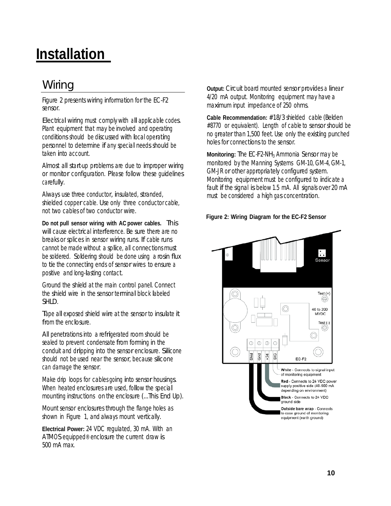### **Installation**

### **Wiring**

Figure 2 presents wiring information for the EC-F2 sensor.

Electrical wiring must comply with all applicable codes. Plant equipment that may be involved and operating conditions should be discussed with local operating personnel to determine if any special needs should be taken into account.

Almost all start-up problems are due to improper wiring or monitor configuration. Please follow these guidelines carefully.

Always use three conductor, insulated, stranded, shielded copper cable. Use *only* three conductor cable, not two cables of two conductor wire.

**Do not pull sensor wiring with AC power cables.** This will cause electrical interference. Be sure there are no breaks or splices in sensor wiring runs. If cable runs cannot be made without <sup>a</sup> splice, all connections must be soldered. Soldering should be done using a rosin flux to tie the connecting ends of sensor wires to ensure <sup>a</sup> positive and long-lasting contact.

Ground the shield at the main control panel. Connect the shield wire in the sensor terminal block labeled *SHLD*.

Tape all exposed shield wire at the sensor to insulate it from the enclosure.

All penetrations into a refrigerated room should be sealed to prevent condensate from forming in the conduit and dripping into the sensor enclosure. Silicone should not be used near the sensor, because silicone can damage the sensor.

Make drip loops for cables going into sensor housings. When heated enclosures are used, follow the special mounting instructions on the enclosure *(...This End Up).*

Mount sensor enclosures through the flange holes as shown in Figure 1, and always mount vertically.

**Electrical Power:** 24 VDC regulated, 30 mA. With an ATMOS equipped® enclosure the current draw is 500 mA max.

**Output:** Circuit board mounted sensor provides a linear 4/20 mA output. Monitoring equipment may have a maximum input impedance of 250 ohms.

**Cable Recommendation:** #18/3 shielded cable (Belden) #8770 or equivalent). Length of cable to sensor should be no greater than 1,500 feet. Use only the existing punched holes for connections to the sensor.

**Monitoring:** The EC-F2-NH<sub>3</sub> Ammonia Sensor may be monitored by the Manning Systems GM-10, GM-4, GM-1, GM-JR or other appropriately configured system. Monitoring equipment must be configured to indicate <sup>a</sup> fault if the signal is below 1.5 mA. All signals over 20 mA must be considered a high gas concentration.



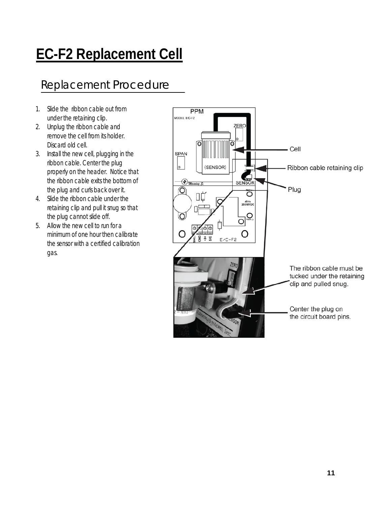# **EC-F2 Replacement Cell**

### Replacement Procedure

- 1. Slide the ribbon cable out from under the retaining clip.
- 2. Unplug the ribbon cable and remove the cell from its holder. Discard old cell.
- 3. Install the new cell, plugging in the ribbon cable. Center the plug properly on the header. Notice that the ribbon cable exits the bottom of the plug and curls back over it.
- 4. Slide the ribbon cable under the retaining clip and pull it snug so that the plug cannot slide off.
- 5. Allow the new cell to run for a minimum of one hour then calibrate the sensor with a certified calibration gas.

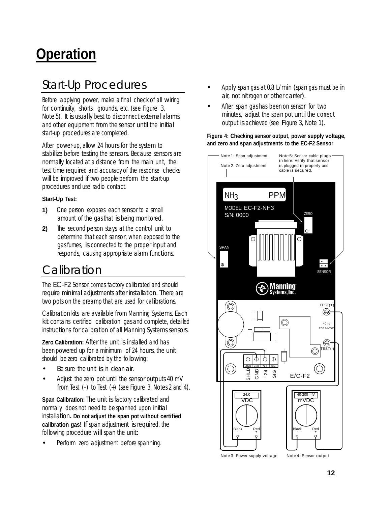# **Operation**

### Start-Up Procedures

Before applying power, make a final check of all wiring for continuity, shorts, grounds, etc. (see Figure 3, Note 5). It is usually best to disconnect external alarms and other equipment from the sensor until the initial start-up procedures are completed.

After power-up, allow <sup>24</sup> hours for the system to stabilize before testing the sensors. Because sensors are normally located at <sup>a</sup> distance from the main unit, the test time required and accuracy of the response checks will be improved if two people perform the start-up procedures and use radio contact.

#### **Start-Up Test:**

- **1)** One person exposes each sensor to <sup>a</sup> small amount of the gas that is being monitored.
- **2)** The second person stays at the control unit to determine that each sensor, when exposed to the gas fumes, is connected to the proper input and responds, causing appropriate alarm functions.

### **Calibration**

The EC-F2 Sensor comes factory calibrated and should require minimal adjustments after installation. There are two pots on the preamp that are used for calibrations.

Calibration kits are available from Manning Systems. Each kit contains certified calibration gas and complete, detailed instructions for calibration of all Manning Systems sensors.

**Zero Calibration:** After the unit is installed and has been powered up for <sup>a</sup> minimum of <sup>24</sup> hours, the unit should be zero calibrated by the following:

- Be sure the unit is in clean air.
- Adjust the zero pot until the sensor outputs 40 mV from Test (–) to Test (+) (see Figure 3, Notes 2 and 4).

**Span Calibration:** The unit is factory calibrated and normally does not need to be spanned upon initial installation**. Do not adjust the span pot without certified calibration gas!** If span adjustment is required, the following procedure will span the unit:

Perform zero adjustment before spanning.

- Apply span gas at 0.8 L/min (span gas must be in air, not nitrogen or other carrier).
- After span gas has been on sensor for two minutes, adjust the span pot until the correct output is achieved (see Figure 3, Note 1).

#### **Figure 4: Checking sensor output, power supply voltage, and zero and span adjustments to the EC-F2 Sensor**



Note 3: Power supply voltage Note 4: Sensor output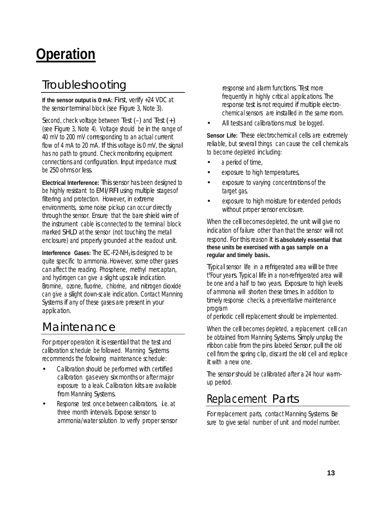### **Operation**

### Troubleshooting

**If the sensor output is 0 mA:** First, verify +24 VDC at the sensor terminal block (see Figure 3, Note 3).

Second, check voltage between Test (–) and Test (+) (see Figure 3, Note 4). Voltage should be in the range of <sup>40</sup> mV to <sup>200</sup> mV corresponding to an actual current flow of <sup>4</sup> mA to <sup>20</sup> mA. If this voltage is <sup>0</sup> mV, the signal has no path to ground. Check monitoring equipment connections and configuration. Input impedance must be 250 ohms or less.

**Electrical Interference:** This sensor has been designed to be highly resistant to EMI/RFI using multiple stages of filtering and protection. However, in extreme environments, some noise pickup can occur directly through the sensor. Ensure that the bare shield wire of the instrument cable is connected to the terminal block marked *SHLD* at the sensor (not touching the metal enclosure) and properly grounded at the readout unit.

**Interference Gases:** The EC-F2-NH<sub>3</sub> is designed to be quite specific to ammonia. However, some other gases can affect the reading. Phosphene, methyl mercaptan, and hydrogen can give <sup>a</sup> slight upscale indication. Bromine, ozone, fluorine, chlorine, and nitrogen dioxide can give <sup>a</sup> slight down-scale indication. Contact Manning Systems if any of these gases are present in your application.

### Maintenance

For proper operation it is essential that the test and calibration schedule be followed. Manning Systems recommends the following maintenance schedule:

- Calibration should be performed with certified calibration gas every six months or after major exposure to <sup>a</sup> leak. Calibration kits are available from Manning Systems.
- Response test once between calibrations, i.e. at three month intervals. Expose sensor to ammonia/water solution to verify proper sensor

response and alarm functions. Test more frequently in highly critical applications. The response test is not required if multiple electrochemical sensors are installed in the same room.

All tests and calibrations must be logged.

**Sensor Life:** These electrochemical cells are extremely reliable, but several things can cause the cell chemicals to become depleted including:

- a period of time,
- exposure to high temperatures,
- exposure to varying concentrations of the target gas,
- exposure to high moisture for extended periods without proper sensor enclosure.

When the cell becomes depleted, the unit will give no indication of failure other than that the sensor will not respond. For this reason it is **absolutely essential that these units be exercised with a gas sample on a regular and timely basis.**

Typical sensor life in <sup>a</sup> refrigerated area will be three t°Four years. Typical life in <sup>a</sup> non-refrigerated area will be one and a half to two years. Exposure to high levels of ammonia will shorten these times. In addition to timely response checks, <sup>a</sup> preventative maintenance program

of periodic cell replacement should be implemented.

When the cell becomes depleted, <sup>a</sup> replacement cell can be obtained from Manning Systems. Simply unplug the ribbon cable from the pins labeled Sensor, pull the old cell from the spring clip, discard the old cell and replace it with a new one.

The sensor should be calibrated after <sup>a</sup> <sup>24</sup> hour warmup period.

### Replacement Parts

For replacement parts, contact Manning Systems. Be sure to give serial number of unit and model number.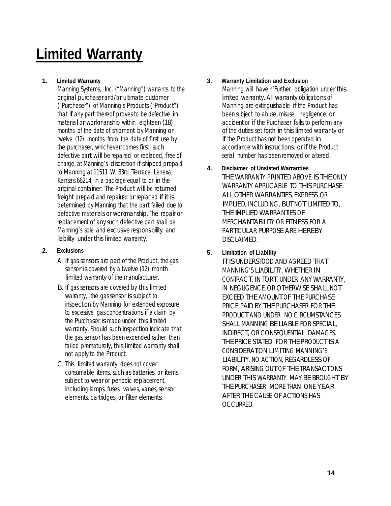# **Limited Warranty**

#### **1. Limited Warranty**

Manning Systems, Inc. ("Manning") warrants to the original purchaser and/or ultimate customer ("Purchaser") of Manning's Products ("Product") that if any part thereof proves to be defective in material or workmanship within eighteen (18) months of the date of shipment by Manning or twelve (12) months from the date of first use by the purchaser, whichever comes first, such defective part will be repaired or replaced, free of charge, at Manning's discretion if shipped prepaid to Manning at <sup>11511</sup> W. 83rd Terrace, Lenexa, Kansas 66214, in a package equal to or in the original container. The Product will be returned freight prepaid and repaired or replaced if it is determined by Manning that the part failed due to defective materials or workmanship. The repair or replacement of any such defective part shall be Manning's sole and exclusive responsibility and liability under this limited warranty.

#### **2. Exclusions**

- A. If gas sensors are part of the Product, the gas sensor is covered by <sup>a</sup> twelve (12) month limited warranty of the manufacturer.
- B. If gas sensors are covered by this limited warranty, the gas sensor is subject to inspection by Manning for extended exposure to excessive gas concentrations if <sup>a</sup> claim by the Purchaser is made under this limited warranty. Should such inspection indicate that the gas sensor has been expended rather than failed prematurely, this limited warranty shall not apply to the Product.
- C. This limited warranty does not cover consumable items, such as batteries, or items subject to wear or periodic replacement, including lamps, fuses, valves, vanes, sensor elements, cartridges, or filter elements.

#### **3. Warranty Limitation and Exclusion**

Manning will have n°Further obligation under this limited warranty. All warranty obligations of Manning are extinguishable if the Product has been subject to abuse, misuse, negligence, or accident or if the Purchaser fails to perform any of the duties set forth in this limited warranty or if the Product has not been operated in accordance with instructions, or if the Product serial number has been removed or altered.

#### **4. Disclaimer of Unstated Warranties**

THE WARRANTY PRINTED ABOVE IS THE ONLY WARRANTY APPLICABLE TO THIS PURCHASE. ALL OTHER WARRANTIES, EXPRESS OR IMPLIED, INCLUDING, BUT NOT LIMITED TO, THE IMPLIED WARRANTIES OF MERCHANTABILITY OR FITNESS FOR <sup>A</sup> PARTICULAR PURPOSE ARE HEREBY DISCLAIMED.

#### **5. Limitation of Liability**

IT IS UNDERSTOOD AND AGREED THAT MANNING'S LIABILITY, WHETHER IN CONTRACT, IN TORT, UNDER ANY WARRANTY, IN NEGLIGENCE OR OTHERWISE SHALL NOT EXCEED THE AMOUNT OF THE PURCHASE PRICE PAID BY THE PURCHASER FOR THE PRODUCT AND UNDER NO CIRCUMSTANCES SHALL MANNING BE LIABLE FOR SPECIAL, INDIRECT, OR CONSEQUENTIAL DAMAGES. THE PRICE STATED FOR THE PRODUCT IS <sup>A</sup> CONSIDERATION LIMITING MANNING'S LIABILITY. NO ACTION, REGARDLESS OF FORM, ARISING OUT OF THE TRANSACTIONS UNDER THIS WARRANTY MAY BE BROUGHT BY THE PURCHASER MORE THAN ONE YEAR AFTER THE CAUSE OF ACTIONS HAS OCCURRED.